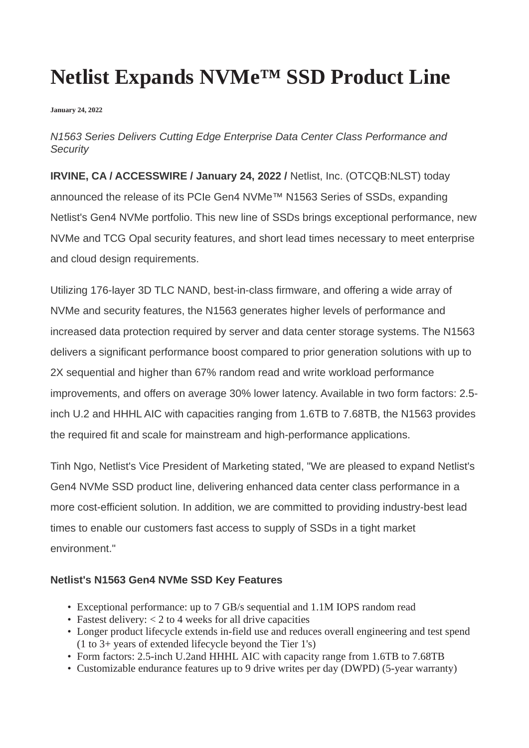# **Netlist Expands NVMe™ SSD Product Line**

**January 24, 2022**

## *N1563 Series Delivers Cutting Edge Enterprise Data Center Class Performance and Security*

**IRVINE, CA / ACCESSWIRE / January 24, 2022 /** Netlist, Inc. (OTCQB:NLST) today announced the release of its PCIe Gen4 NVMe™ N1563 Series of SSDs, expanding Netlist's Gen4 NVMe portfolio. This new line of SSDs brings exceptional performance, new NVMe and TCG Opal security features, and short lead times necessary to meet enterprise and cloud design requirements.

Utilizing 176-layer 3D TLC NAND, best-in-class firmware, and offering a wide array of NVMe and security features, the N1563 generates higher levels of performance and increased data protection required by server and data center storage systems. The N1563 delivers a significant performance boost compared to prior generation solutions with up to 2X sequential and higher than 67% random read and write workload performance improvements, and offers on average 30% lower latency. Available in two form factors: 2.5 inch U.2 and HHHL AIC with capacities ranging from 1.6TB to 7.68TB, the N1563 provides the required fit and scale for mainstream and high-performance applications.

Tinh Ngo, Netlist's Vice President of Marketing stated, "We are pleased to expand Netlist's Gen4 NVMe SSD product line, delivering enhanced data center class performance in a more cost-efficient solution. In addition, we are committed to providing industry-best lead times to enable our customers fast access to supply of SSDs in a tight market environment."

## **Netlist's N1563 Gen4 NVMe SSD Key Features**

- Exceptional performance: up to 7 GB/s sequential and 1.1M IOPS random read
- Fastest delivery: < 2 to 4 weeks for all drive capacities
- Longer product lifecycle extends in-field use and reduces overall engineering and test spend (1 to 3+ years of extended lifecycle beyond the Tier 1's)
- Form factors: 2.5-inch U.2and HHHL AIC with capacity range from 1.6TB to 7.68TB
- Customizable endurance features up to 9 drive writes per day (DWPD) (5-year warranty)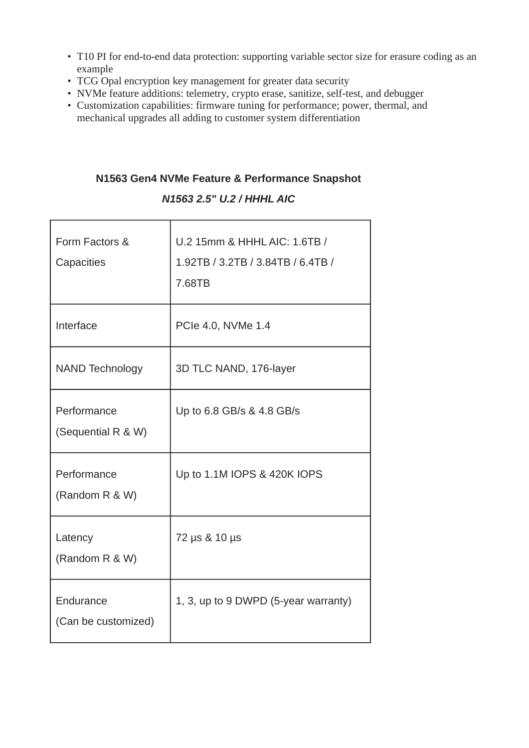- T10 PI for end-to-end data protection: supporting variable sector size for erasure coding as an example
- TCG Opal encryption key management for greater data security
- NVMe feature additions: telemetry, crypto erase, sanitize, self-test, and debugger
- Customization capabilities: firmware tuning for performance; power, thermal, and mechanical upgrades all adding to customer system differentiation

# **N1563 Gen4 NVMe Feature & Performance Snapshot**

## *N1563 2.5" U.2 / HHHL AIC*

| Form Factors &<br>Capacities      | U.2 15mm & HHHL AIC: 1.6TB /<br>1.92TB / 3.2TB / 3.84TB / 6.4TB /<br>7.68TB |
|-----------------------------------|-----------------------------------------------------------------------------|
| Interface                         | PCIe 4.0, NVMe 1.4                                                          |
| <b>NAND Technology</b>            | 3D TLC NAND, 176-layer                                                      |
| Performance<br>(Sequential R & W) | Up to 6.8 GB/s & 4.8 GB/s                                                   |
| Performance<br>(Random R & W)     | Up to 1.1M IOPS & 420K IOPS                                                 |
| Latency<br>(Random R & W)         | 72 µs & 10 µs                                                               |
| Endurance<br>(Can be customized)  | 1, 3, up to 9 DWPD (5-year warranty)                                        |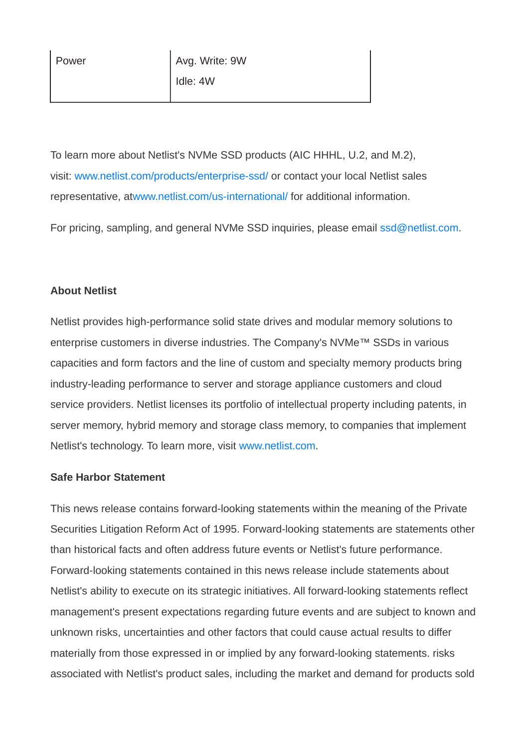To learn more about Netlist's NVMe SSD products (AIC HHHL, U.2, and M.2), visit: [www.netlist.com/products/enterprise-ssd/](https://pr.report/0WPKT63I) or contact your local Netlist sales representative, a[twww.netlist.com/us-international/](https://pr.report/he-ZRj8L) for additional information.

For pricing, sampling, and general NVMe SSD inquiries, please email [ssd@netlist.com](mailto:ssd@netlist.com).

### **About Netlist**

Netlist provides high-performance solid state drives and modular memory solutions to enterprise customers in diverse industries. The Company's NVMe™ SSDs in various capacities and form factors and the line of custom and specialty memory products bring industry-leading performance to server and storage appliance customers and cloud service providers. Netlist licenses its portfolio of intellectual property including patents, in server memory, hybrid memory and storage class memory, to companies that implement Netlist's technology. To learn more, visit [www.netlist.com](https://pr.report/-7YjPfI3).

### **Safe Harbor Statement**

This news release contains forward-looking statements within the meaning of the Private Securities Litigation Reform Act of 1995. Forward-looking statements are statements other than historical facts and often address future events or Netlist's future performance. Forward-looking statements contained in this news release include statements about Netlist's ability to execute on its strategic initiatives. All forward-looking statements reflect management's present expectations regarding future events and are subject to known and unknown risks, uncertainties and other factors that could cause actual results to differ materially from those expressed in or implied by any forward-looking statements. risks associated with Netlist's product sales, including the market and demand for products sold